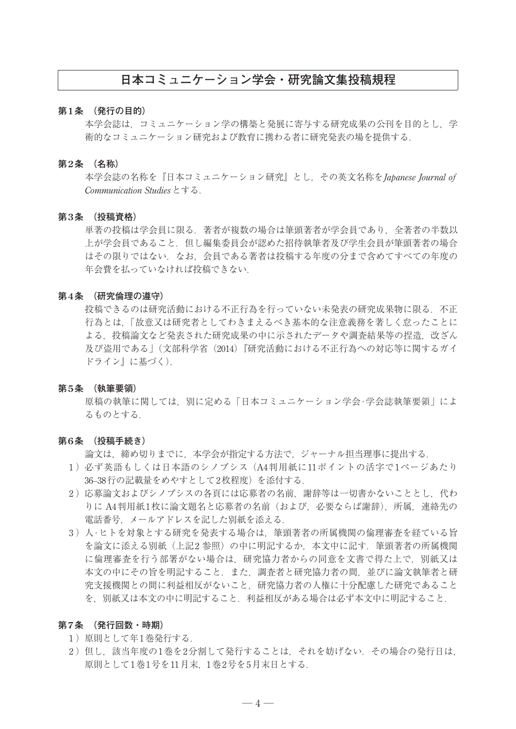# **日本コミュニケーション学会・研究論文集投稿規程**

## **第1条 (発行の目的)**

本学会誌は、コミュニケーション学の構築と発展に寄与する研究成果の公刊を目的とし、学 術的なコミュニケーション研究および教育に携わる者に研究発表の場を提供する.

#### **第2条 (名称)**

 本学会誌の名称を『日本コミュニケーション研究』とし,その英文名称を*Japanese Journal of Communication Studies*とする.

#### **第3条 (投稿資格)**

 単著の投稿は学会員に限る.著者が複数の場合は筆頭著者が学会員であり,全著者の半数以 上が学会員であること.但し編集委員会が認めた招待執筆者及び学生会員が筆頭著者の場合 はその限りではない.なお,会員である著者は投稿する年度の分まで含めてすべての年度の 年会費を払っていなければ投稿できない.

## **第4条 (研究倫理の遵守)**

 投稿できるのは研究活動における不正行為を行っていない未発表の研究成果物に限る.不正 行為とは,「故意又は研究者としてわきまえるべき基本的な注意義務を著しく怠ったことに よる,投稿論文など発表された研究成果の中に示されたデータや調査結果等の捏造,改ざん 及び盗用である」(文部科学省(2014)『研究活動における不正行為への対応等に関するガイ ドライン』に基づく).

#### **第5条 (執筆要領)**

 原稿の執筆に関しては,別に定める「日本コミュニケーション学会·学会誌執筆要領」によ るものとする.

## **第6条 (投稿手続き)**

論文は,締め切りまでに,本学会が指定する方法で,ジャーナル担当理事に提出する.

- 1 )必ず英語もしくは日本語のシノプシス(A4判用紙に11ポイントの活字で1ページあたり 36–38行の記載量をめやすとして2枚程度)を添付する.
- 2)応募論文およびシノプシスの各頁には応募者の名前、謝辞等は一切書かないこととし、代わ りに A4判用紙1枚に論文題名と応募者の名前(および, 必要ならば謝辞), 所属, 連絡先の 電話番号,メールアドレスを記した別紙を添える.
- 3 )人·ヒトを対象とする研究を発表する場合は,筆頭著者の所属機関の倫理審査を経ている旨 を論文に添える別紙(上記2 参照)の中に明記するか,本文中に記す.筆頭著者の所属機関 に倫理審査を行う部署がない場合は、研究協力者からの同意を文書で得た上で、別紙又は 本文の中にその旨を明記すること. また. 調査者と研究協力者の間, 並びに論文執筆者と研 究支援機関との間に利益相反がないこと,研究協力者の人権に十分配慮した研究であること を,別紙又は本文の中に明記すること.利益相反がある場合は必ず本文中に明記すること.

### **第7条 (発行回数・時期)**

- 1)原則として年1巻発行する.
- 2 )但し,該当年度の1巻を2分割して発行することは,それを妨げない.その場合の発行日は, 原則として1巻1号を11月末,1巻2号を5月末日とする.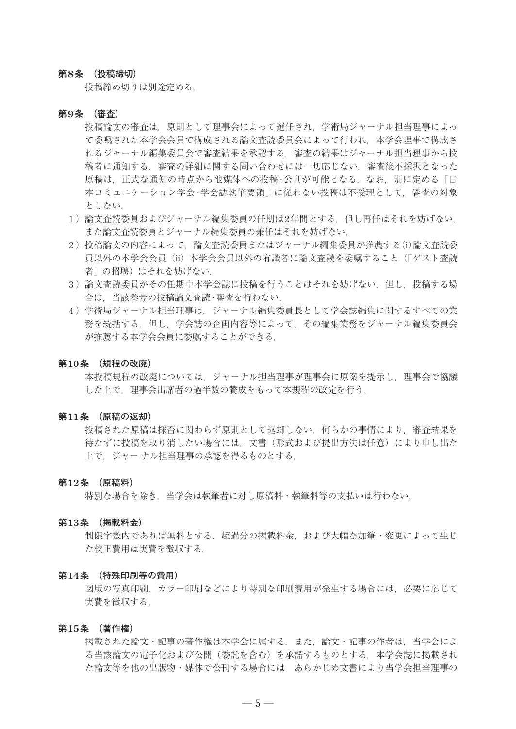## **第8条 (投稿締切)**

投稿締め切りは別途定める.

#### **第9条 (審査)**

 投稿論文の審査は,原則として理事会によって選任され,学術局ジャーナル担当理事によっ て委嘱された本学会会員で構成される論文査読委員会によって行われ,本学会理事で構成さ れるジャーナル編集委員会で審査結果を承認する.審査の結果はジャーナル担当理事から投 稿者に通知する.審査の詳細に関する問い合わせには一切応じない.審査後不採択となった 原稿は、正式な通知の時点から他媒体への投稿·公刊が可能となる. なお、別に定める「日 本コミュニケーション学会·学会誌執筆要領」に従わない投稿は不受理として,審査の対象 としない.

- 1 )論文査読委員およびジャーナル編集委員の任期は2年間とする.但し再任はそれを妨げない. また論文査読委員とジャーナル編集委員の兼任はそれを妨げない.
- 2 )投稿論文の内容によって,論文査読委員またはジャーナル編集委員が推薦する(i)論文査読委 員以外の本学会会員(ii)本学会会員以外の有識者に論文査読を委嘱すること(「ゲスト査読 者」の招聘)はそれを妨げない.
- 3 )論文査読委員がその任期中本学会誌に投稿を行うことはそれを妨げない.但し,投稿する場 合は,当該巻号の投稿論文査読·審査を行わない.
- 4 )学術局ジャーナル担当理事は,ジャーナル編集委員長として学会誌編集に関するすべての業 務を統括する.但し,学会誌の企画内容等によって,その編集業務をジャーナル編集委員会 が推薦する本学会会員に委嘱することができる.

## **第10条 (規程の改廃)**

本投稿規程の改廃については、ジャーナル担当理事が理事会に原案を提示し、理事会で協議 した上で,理事会出席者の過半数の賛成をもって本規程の改定を行う.

### **第11条 (原稿の返却)**

 投稿された原稿は採否に関わらず原則として返却しない.何らかの事情により,審査結果を 待たずに投稿を取り消したい場合には、文書(形式および提出方法は任意)により申し出た 上で,ジャー ナル担当理事の承認を得るものとする.

#### **第12条 (原稿料)**

特別な場合を除き、当学会は執筆者に対し原稿料・執筆料等の支払いは行わない.

#### **第13条 (掲載料金)**

制限字数内であれば無料とする. 超過分の掲載料金, および大幅な加筆・変更によって生じ た校正費用は実費を徴収する.

#### **第14条 (特殊印刷等の費用)**

 図版の写真印刷,カラー印刷などにより特別な印刷費用が発生する場合には,必要に応じて 実費を徴収する.

## **第15条 (著作権)**

 掲載された論文・記事の著作権は本学会に属する.また,論文・記事の作者は,当学会によ る当該論文の電子化および公開(委託を含む)を承諾するものとする. 本学会誌に掲載され た論文等を他の出版物・媒体で公刊する場合には,あらかじめ文書により当学会担当理事の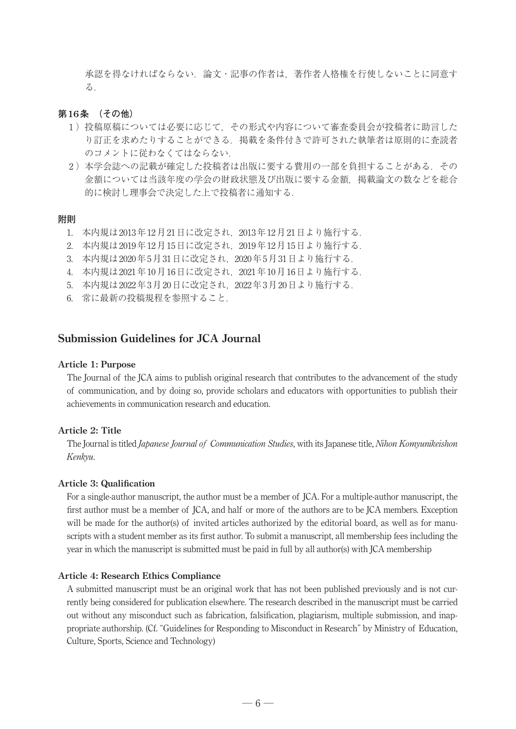承認を得なければならない.論文・記事の作者は,著作者人格権を行使しないことに同意す る.

## **第16条 (その他)**

- 1 )投稿原稿については必要に応じて,その形式や内容について審査委員会が投稿者に助言した り訂正を求めたりすることができる.掲載を条件付きで許可された執筆者は原則的に査読者 のコメントに従わなくてはならない.
- 2)本学会誌への記載が確定した投稿者は出版に要する費用の一部を負担することがある. その 金額については当該年度の学会の財政状態及び出版に要する金額,掲載論文の数などを総合 的に検討し理事会で決定した上で投稿者に通知する.

## **附則**

- 1. 本内規は2013年12月21日に改定され,2013年12月21日より施行する.
- 2. 本内規は2019年12月15日に改定され,2019年12月15日より施行する.
- 3. 本内規は2020年5月31日に改定され,2020年5月31日より施行する.
- 4. 本内規は2021年10月16日に改定され,2021年10月16日より施行する.
- 5. 本内規は2022年3月20日に改定され,2022年3月20日より施行する.
- 6. 常に最新の投稿規程を参照すること.

## **Submission Guidelines for JCA Journal**

#### **Article 1: Purpose**

 The Journal of the JCA aims to publish original research that contributes to the advancement of the study of communication, and by doing so, provide scholars and educators with opportunities to publish their achievements in communication research and education.

## **Article 2: Title**

 The Journal is titled *Japanese Journal of Communication Studies*, with its Japanese title, *Nihon Komyunikei shon Kenkyu*.

## **Article 3: Qualification**

 For a single-author manuscript, the author must be a member of JCA. For a multiple-author manuscript, the first author must be a member of JCA, and half or more of the authors are to be JCA members. Exception will be made for the author(s) of invited articles authorized by the editorial board, as well as for manuscripts with a student member as its first author. To submit a manuscript, all membership fees including the year in which the manuscript is submitted must be paid in full by all author(s) with JCA membership

#### **Article 4: Research Ethics Compliance**

 A submitted manuscript must be an original work that has not been published previously and is not currently being considered for publication elsewhere. The research described in the manuscript must be carried out without any misconduct such as fabrication, falsification, plagiarism, multiple submission, and inappropriate authorship. (Cf. "Guidelines for Responding to Misconduct in Research" by Ministry of Education, Culture, Sports, Science and Technology)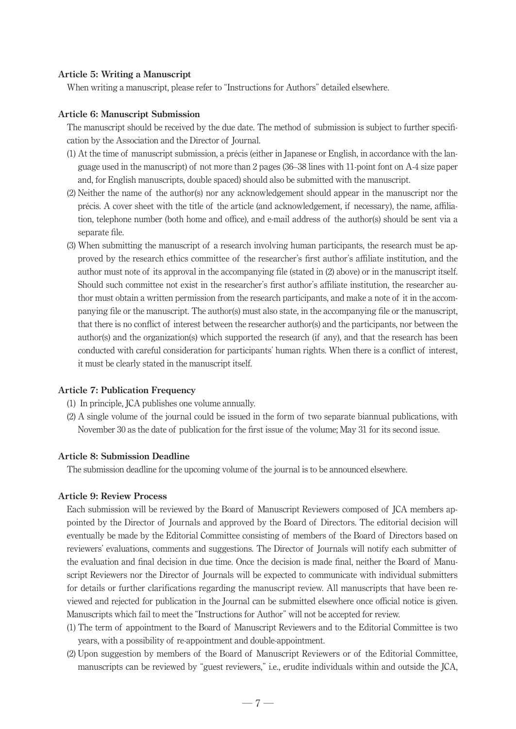### **Article 5: Writing a Manuscript**

When writing a manuscript, please refer to "Instructions for Authors" detailed elsewhere.

#### **Article 6: Manuscript Submission**

The manuscript should be received by the due date. The method of submission is subject to further specification by the Association and the Director of Journal.

- (1) At the time of manuscript submission, a précis (either in Japanese or English, in accordance with the language used in the manuscript) of not more than 2 pages (36–38 lines with 11-point font on A-4 size paper and, for English manuscripts, double spaced) should also be submitted with the manuscript.
- (2) Neither the name of the author(s) nor any acknowledgement should appear in the manuscript nor the précis. A cover sheet with the title of the article (and acknowledgement, if necessary), the name, aliation, telephone number (both home and office), and e-mail address of the author(s) should be sent via a separate file.
- (3) When submitting the manuscript of a research involving human participants, the research must be approved by the research ethics committee of the researcher's first author's affiliate institution, and the author must note of its approval in the accompanying file (stated in (2) above) or in the manuscript itself. Should such committee not exist in the researcher's first author's affiliate institution, the researcher author must obtain a written permission from the research participants, and make a note of it in the accompanying file or the manuscript. The author(s) must also state, in the accompanying file or the manuscript, that there is no conflict of interest between the researcher author(s) and the participants, nor between the author(s) and the organization(s) which supported the research (if any), and that the research has been conducted with careful consideration for participants' human rights. When there is a conflict of interest, it must be clearly stated in the manuscript itself.

#### **Article 7: Publication Frequency**

- (1) In principle, JCA publishes one volume annually.
- (2) A single volume of the journal could be issued in the form of two separate biannual publications, with November 30 as the date of publication for the first issue of the volume; May 31 for its second issue.

## **Article 8: Submission Deadline**

The submission deadline for the upcoming volume of the journal is to be announced elsewhere.

## **Article 9: Review Process**

 Each submission will be reviewed by the Board of Manuscript Reviewers composed of JCA members appointed by the Director of Journals and approved by the Board of Directors. The editorial decision will eventually be made by the Editorial Committee consisting of members of the Board of Directors based on reviewers' evaluations, comments and suggestions. The Director of Journals will notify each submitter of the evaluation and final decision in due time. Once the decision is made final, neither the Board of Manuscript Reviewers nor the Director of Journals will be expected to communicate with individual submitters for details or further clarifications regarding the manuscript review. All manuscripts that have been reviewed and rejected for publication in the Journal can be submitted elsewhere once official notice is given. Manuscripts which fail to meet the "Instructions for Author" will not be accepted for review.

- (1) The term of appointment to the Board of Manuscript Reviewers and to the Editorial Committee is two years, with a possibility of re-appointment and double-appointment.
- (2) Upon suggestion by members of the Board of Manuscript Reviewers or of the Editorial Committee, manuscripts can be reviewed by "guest reviewers," i.e., erudite individuals within and outside the JCA,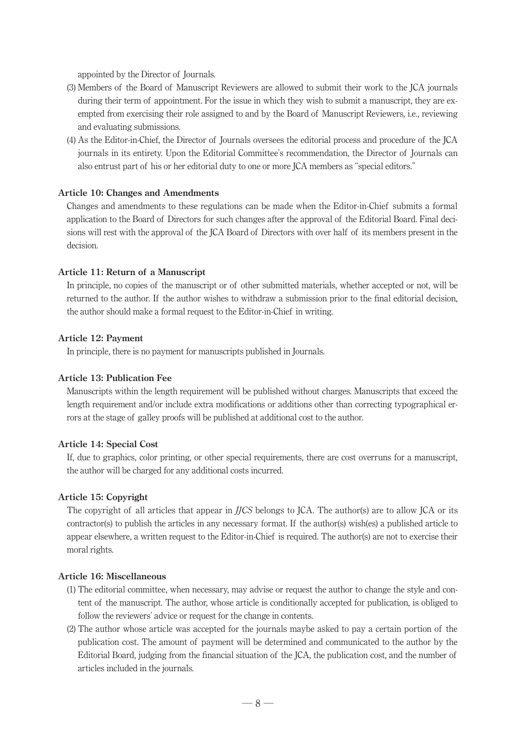appointed by the Director of Journals.

- (3) Members of the Board of Manuscript Reviewers are allowed to submit their work to the JCA journals during their term of appointment. For the issue in which they wish to submit a manuscript, they are exempted from exercising their role assigned to and by the Board of Manuscript Reviewers, i.e., reviewing and evaluating submissions.
- (4) As the Editor-in-Chief, the Director of Journals oversees the editorial process and procedure of the JCA journals in its entirety. Upon the Editorial Committee's recommendation, the Director of Journals can also entrust part of his or her editorial duty to one or more JCA members as "special editors."

## **Article 10: Changes and Amendments**

 Changes and amendments to these regulations can be made when the Editor-in-Chief submits a formal application to the Board of Directors for such changes after the approval of the Editorial Board. Final decisions will rest with the approval of the JCA Board of Directors with over half of its members present in the decision.

#### **Article 11: Return of a Manuscript**

 In principle, no copies of the manuscript or of other submitted materials, whether accepted or not, will be returned to the author. If the author wishes to withdraw a submission prior to the final editorial decision, the author should make a formal request to the Editor-in-Chief in writing.

### **Article 12: Payment**

In principle, there is no payment for manuscripts published in Journals.

## **Article 13: Publication Fee**

 Manuscripts within the length requirement will be published without charges. Manuscripts that exceed the length requirement and/or include extra modifications or additions other than correcting typographical errors at the stage of galley proofs will be published at additional cost to the author.

## **Article 14: Special Cost**

 If, due to graphics, color printing, or other special requirements, there are cost overruns for a manuscript, the author will be charged for any additional costs incurred.

## **Article 15: Copyright**

 The copyright of all articles that appear in *JJCS* belongs to JCA. The author(s) are to allow JCA or its contractor(s) to publish the articles in any necessary format. If the author(s) wish(es) a published article to appear elsewhere, a written request to the Editor-in-Chief is required. The author(s) are not to exercise their moral rights.

## **Article 16: Miscellaneous**

- (1) The editorial committee, when necessary, may advise or request the author to change the style and content of the manuscript. The author, whose article is conditionally accepted for publication, is obliged to follow the reviewers' advice or request for the change in contents.
- (2) The author whose article was accepted for the journals maybe asked to pay a certain portion of the publication cost. The amount of payment will be determined and communicated to the author by the Editorial Board, judging from the nancial situation of the JCA, the publication cost, and the number of articles included in the journals.